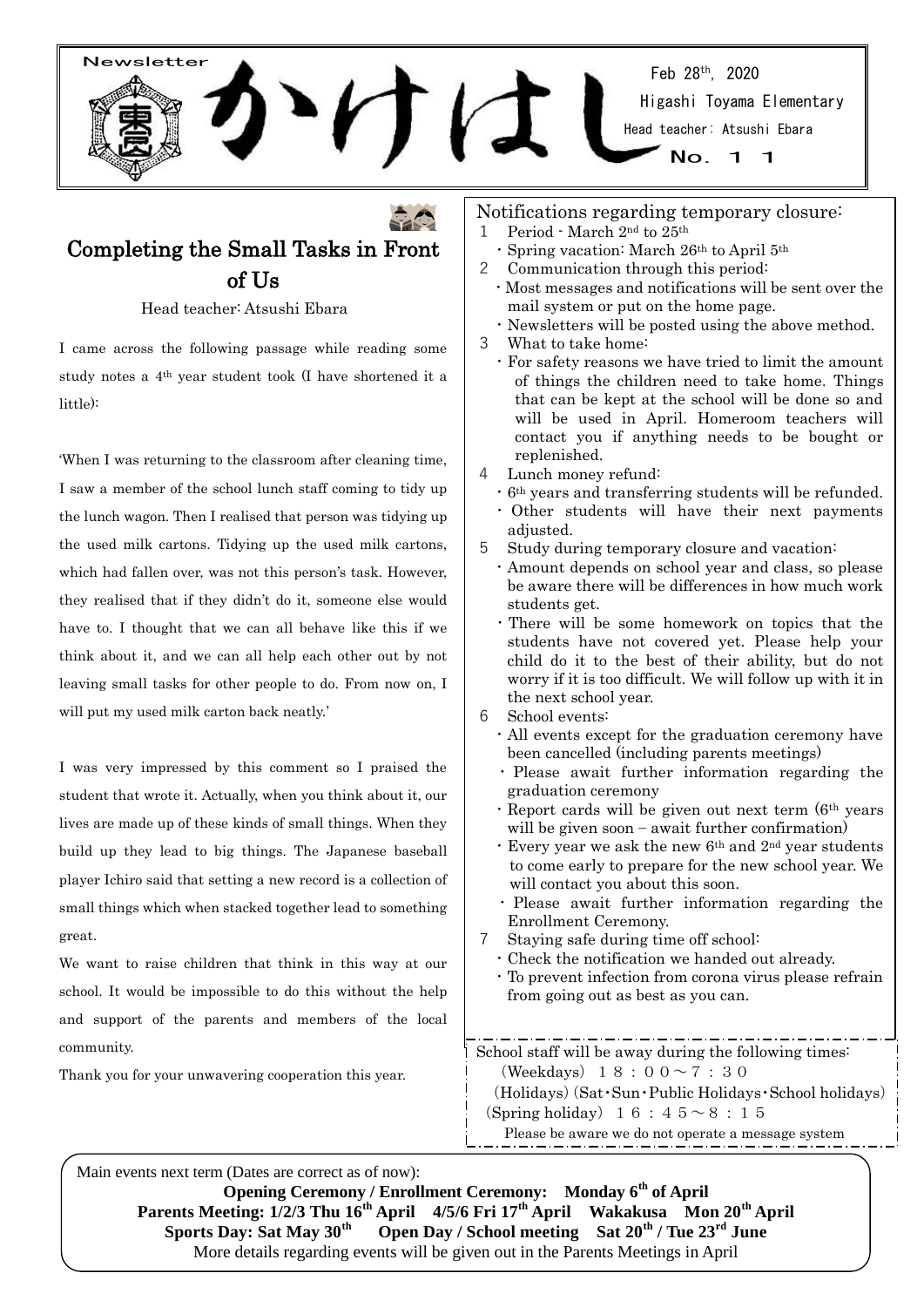Feb 28th, 2020 Higashi Toyama Elementary Head teacher: Atsushi Ebara

# Completing the Small Tasks in Front of Us

Newsletter

Head teacher: Atsushi Ebara

I came across the following passage while reading some study notes a 4th year student took (I have shortened it a little):

'When I was returning to the classroom after cleaning time, I saw a member of the school lunch staff coming to tidy up the lunch wagon. Then I realised that person was tidying up the used milk cartons. Tidying up the used milk cartons, which had fallen over, was not this person's task. However, they realised that if they didn't do it, someone else would have to. I thought that we can all behave like this if we think about it, and we can all help each other out by not leaving small tasks for other people to do. From now on, I will put my used milk carton back neatly.'

I was very impressed by this comment so I praised the student that wrote it. Actually, when you think about it, our lives are made up of these kinds of small things. When they build up they lead to big things. The Japanese baseball player Ichiro said that setting a new record is a collection of small things which when stacked together lead to something great.

We want to raise children that think in this way at our school. It would be impossible to do this without the help and support of the parents and members of the local community.

Thank you for your unwavering cooperation this year.

- Notifications regarding temporary closure:
- 1 Period March 2nd to 25th
	- ・Spring vacation: March 26th to April 5th
- 2 Communication through this period:
	- ・Most messages and notifications will be sent over the mail system or put on the home page.

 $N<sub>O</sub>$ 

- ・Newsletters will be posted using the above method.
- 3 What to take home:
	- ・For safety reasons we have tried to limit the amount of things the children need to take home. Things that can be kept at the school will be done so and will be used in April. Homeroom teachers will contact you if anything needs to be bought or replenished.
- Lunch money refund:
	- ・6th years and transferring students will be refunded.
	- ・ Other students will have their next payments adjusted.
- 5 Study during temporary closure and vacation:
- ・Amount depends on school year and class, so please be aware there will be differences in how much work students get.
- ・There will be some homework on topics that the students have not covered yet. Please help your child do it to the best of their ability, but do not worry if it is too difficult. We will follow up with it in the next school year.
- 6 School events:
	- ・All events except for the graduation ceremony have been cancelled (including parents meetings)
	- ・ Please await further information regarding the graduation ceremony
	- $\cdot$  Report cards will be given out next term ( $6<sup>th</sup>$  years) will be given soon – await further confirmation)
	- $\cdot$  Every year we ask the new  $6<sup>th</sup>$  and  $2<sup>nd</sup>$  year students to come early to prepare for the new school year. We will contact you about this soon.
	- ・ Please await further information regarding the Enrollment Ceremony.
- 7 Staying safe during time off school:
	- ・Check the notification we handed out already.
	- ・To prevent infection from corona virus please refrain from going out as best as you can.

School staff will be away during the following times: (Weekdays)  $18:00 \sim 7:30$ (Holidays)(Sat・Sun・Public Holidays・School holidays) (Spring holiday)  $16:45~8:15$ Please be aware we do not operate a message system

Main events next term (Dates are correct as of now): **Opening Ceremony / Enrollment Ceremony: Monday 6th of April Parents Meeting: 1/2/3 Thu 16th April 4/5/6 Fri 17th April Wakakusa Mon 20th April Sports Day: Sat May 30th Open Day / School meeting Sat 20th / Tue 23rd June** More details regarding events will be given out in the Parents Meetings in April